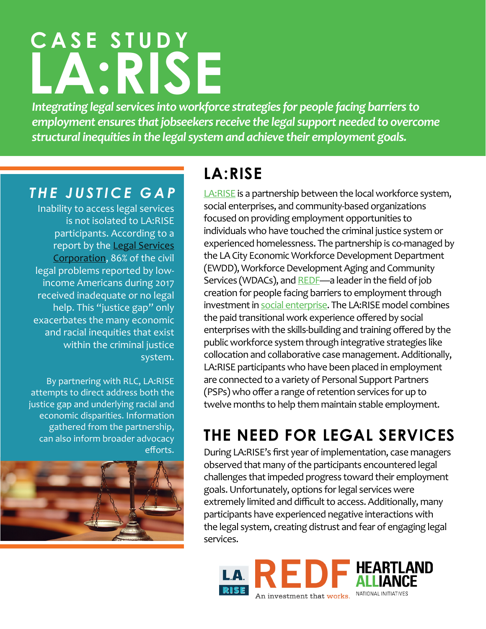# **CASE STUDY LA:RISE**

*Integrating legal services into workforce strategies for people facing barriers to employment ensures that jobseekers receive the legal support needed to overcome structural inequities in the legal system and achieve their employment goals.*

#### *THE JUSTICE GAP*

Inability to access legal services is not isolated to LA:RISE participants. According to a report by the Legal Services [Corporation](https://www.lsc.gov/), 86% of the civil legal problems reported by lowincome Americans during 2017 received inadequate or no legal help. This "justice gap" only exacerbates the many economic and racial inequities that exist within the criminal justice system.

By partnering with RLC, LA:RISE attempts to direct address both the justice gap and underlying racial and economic disparities. Information gathered from the partnership, can also inform broader advocacy efforts.



## **LA:RISE**

[LA:RISE](http://ewddlacity.com/index.php/employment-services/la-rise) is a partnership between the local workforce system, social enterprises, and community-based organizations focused on providing employment opportunities to individuals who have touched the criminal justice system or experienced homelessness. The partnership is co-managed by the LA City Economic Workforce Development Department (EWDD), Workforce Development Aging and Community Services (WDACs), and [REDF](http://redf.org/)—a leader in the field of job creation for people facing barriers to employment through investment in [social enterprise](http://redf.org/what-we-do/). The LA:RISE model combines the paid transitional work experience offered by social enterprises with the skills-building and training offered by the public workforce system through integrative strategies like collocation and collaborative case management. Additionally, LA:RISE participants who have been placed in employment are connected to a variety of Personal Support Partners (PSPs) who offer a range of retention services for up to twelve months to help them maintain stable employment.

# **THE NEED FOR LEGAL SERVICES**

During LA:RISE's first year of implementation, case managers observed that many of the participants encountered legal challenges that impeded progress toward their employment goals. Unfortunately, options for legal services were extremely limited and difficult to access. Additionally, many participants have experienced negative interactions with the legal system, creating distrust and fear of engaging legal services.

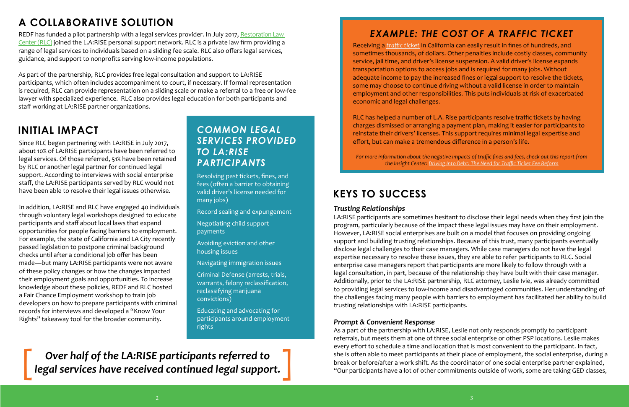#### *Trusting Relationships*

LA:RISE participants are sometimes hesitant to disclose their legal needs when they first join the program, particularly because of the impact these legal issues may have on their employment. However, LA:RISE social enterprises are built on a model that focuses on providing ongoing support and building trusting relationships. Because of this trust, many participants eventually disclose legal challenges to their case managers. While case managers do not have the legal expertise necessary to resolve these issues, they are able to refer participants to RLC. Social enterprise case managers report that participants are more likely to follow through with a legal consultation, in part, because of the relationship they have built with their case manager. Additionally, prior to the LA:RISE partnership, RLC attorney, Leslie Ivie, was already committed to providing legal services to low-income and disadvantaged communities. Her understanding of the challenges facing many people with barriers to employment has facilitated her ability to build trusting relationships with LA:RISE participants.

#### *Prompt & Convenient Response*

As a part of the partnership with LA:RISE, Leslie not only responds promptly to participant referrals, but meets them at one of three social enterprise or other PSP locations. Leslie makes every effort to schedule a time and location that is most convenient to the participant. In fact, she is often able to meet participants at their place of employment, the social enterprise, during a break or before/after a work shift. As the coordinator of one social enterprise partner explained, "Our participants have a lot of other commitments outside of work, some are taking GED classes,

REDF has funded a pilot partnership with a legal services provider. In July 2017, Restoration Law [Center \(RLC\)](http://restorationlawcenter.com/) joined the L.A:RISE personal support network. RLC is a private law firm providing a range of legal services to individuals based on a sliding fee scale. RLC also offers legal services, guidance, and support to nonprofits serving low-income populations.

## **KEYS TO SUCCESS**

Since RLC began partnering with LA:RISE in July 2017, about 10% of LA:RISE participants have been referred to legal services. Of those referred, 51% have been retained by RLC or another legal partner for continued legal support. According to interviews with social enterprise staff, the LA:RISE participants served by RLC would not have been able to resolve their legal issues otherwise.

In addition, LA:RISE and RLC have engaged 40 individuals through voluntary legal workshops designed to educate participants and staff about local laws that expand opportunities for people facing barriers to employment. For example, the state of California and LA City recently passed legislation to postpone criminal background checks until after a conditional job offer has been made—but many LA:RISE participants were not aware of these policy changes or how the changes impacted their employment goals and opportunities. To increase knowledge about these policies, REDF and RLC hosted a Fair Chance Employment workshop to train job developers on how to prepare participants with criminal records for interviews and developed a "Know Your Rights" takeaway tool for the broader community.

*Over half of the LA:RISE participants referred to* [*legal services have received continued legal support.* ]

## **INITIAL IMPACT**

As part of the partnership, RLC provides free legal consultation and support to LA:RISE participants, which often includes accompaniment to court, if necessary. If formal representation is required, RLC can provide representation on a sliding scale or make a referral to a free or low-fee lawyer with specialized experience. RLC also provides legal education for both participants and staff working at LA:RISE partner organizations.

# **A COLLABORATIVE SOLUTION**

Receiving a *[traffic ticket](https://www.dmv.org/ca-california/traffic-ticket-fines-and-penalties.php)* in California can easily result in fines of hundreds, and sometimes thousands, of dollars. Other penalties include costly classes, community service, jail time, and driver's license suspension. A valid driver's license expands transportation options to access jobs and is required for many jobs. Without adequate income to pay the increased fines or legal support to resolve the tickets, some may choose to continue driving without a valid license in order to maintain employment and other responsibilities. This puts individuals at risk of exacerbated economic and legal challenges.

RLC has helped a number of L.A. Rise participants resolve traffic tickets by having charges dismissed or arranging a payment plan, making it easier for participants to reinstate their drivers' licenses. This support requires minimal legal expertise and effort, but can make a tremendous difference in a person's life.

*For more information about the negative impacts of traffic fines and fees, check out this report from the Insight Center: [Driving Into Debt: The Need for Traffic Ticket Fee Reform](https://insightcced.org/news/driving-debt-need-traffic-ticket-fee-reform/)*

### *EXAMPLE: THE COST OF A TRAFFIC TICKET*

Resolving past tickets, fines, and fees (often a barrier to obtaining valid driver's license needed for many jobs)

- Record sealing and expungement
- Negotiating child support payments
- Avoiding eviction and other housing issues
- Navigating immigration issues
- Criminal Defense (arrests, trials, warrants, felony reclassification, reclassifying marijuana convictions)

Educating and advocating for participants around employment rights

#### *COMMON LEGAL SERVICES PROVIDED TO LA:RISE PARTICIPANTS*